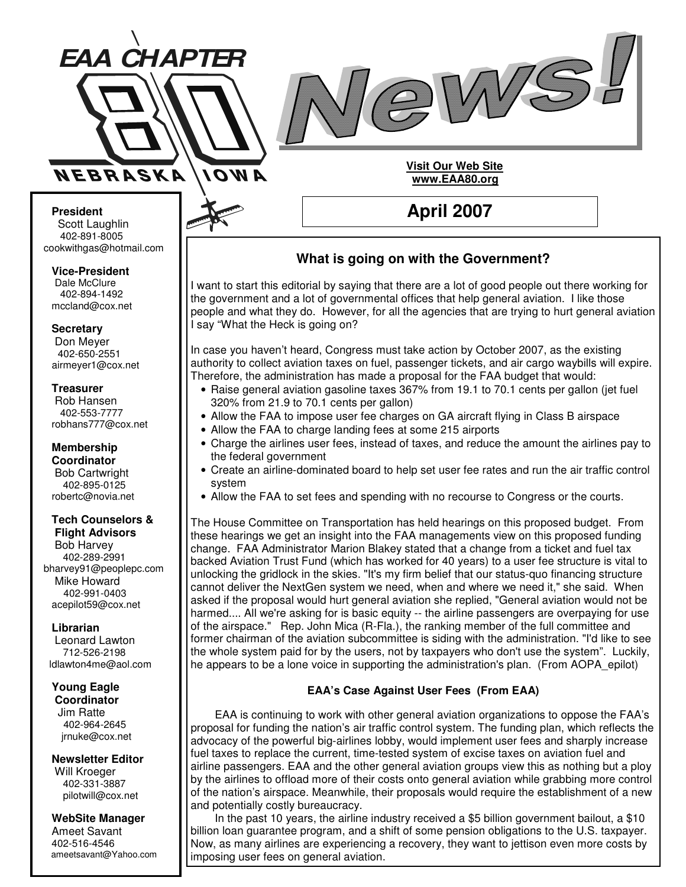



**April 2007**

**Visit Our Web Site www.EAA80.org**

#### **President** Scott Laughlin 402-891-8005 cookwithgas@hotmail.com

#### **Vice-President**

Dale McClure 402-894-1492 mccland@cox.net

#### **Secretary**

Don Meyer 402-650-2551 airmeyer1@cox.net

#### **Treasurer**

Rob Hansen 402-553-7777 robhans777@cox.net

**Membership Coordinator** Bob Cartwright 402-895-0125 robertc@novia.net

### **Tech Counselors &**

**Flight Advisors** Bob Harvey 402-289-2991 bharvey91@peoplepc.com Mike Howard 402-991-0403 acepilot59@cox.net

#### **Librarian**

Leonard Lawton 712-526-2198 ldlawton4me@aol.com

#### **Young Eagle Coordinator**

Jim Ratte 402-964-2645 jrnuke@cox.net

#### **Newsletter Editor**

Will Kroeger 402-331-3887 pilotwill@cox.net

#### **WebSite Manager** Ameet Savant

402-516-4546 ameetsavant@Yahoo.com

## **What is going on with the Government?**

I want to start this editorial by saying that there are a lot of good people out there working for the government and a lot of governmental offices that help general aviation. I like those people and what they do. However, for all the agencies that are trying to hurt general aviation I say "What the Heck is going on?

In case you haven't heard, Congress must take action by October 2007, as the existing authority to collect aviation taxes on fuel, passenger tickets, and air cargo waybills will expire. Therefore, the administration has made a proposal for the FAA budget that would:

- Raise general aviation gasoline taxes 367% from 19.1 to 70.1 cents per gallon (jet fuel 320% from 21.9 to 70.1 cents per gallon)
- Allow the FAA to impose user fee charges on GA aircraft flying in Class B airspace
- Allow the FAA to charge landing fees at some 215 airports
- Charge the airlines user fees, instead of taxes, and reduce the amount the airlines pay to the federal government
- Create an airline-dominated board to help set user fee rates and run the air traffic control system
- Allow the FAA to set fees and spending with no recourse to Congress or the courts.

The House Committee on Transportation has held hearings on this proposed budget. From these hearings we get an insight into the FAA managements view on this proposed funding change. FAA Administrator Marion Blakey stated that a change from a ticket and fuel tax backed Aviation Trust Fund (which has worked for 40 years) to a user fee structure is vital to unlocking the gridlock in the skies. "It's my firm belief that our status-quo financing structure cannot deliver the NextGen system we need, when and where we need it," she said. When asked if the proposal would hurt general aviation she replied, "General aviation would not be harmed.... All we're asking for is basic equity -- the airline passengers are overpaying for use of the airspace." Rep. John Mica (R-Fla.), the ranking member of the full committee and former chairman of the aviation subcommittee is siding with the administration. "I'd like to see the whole system paid for by the users, not by taxpayers who don't use the system". Luckily, he appears to be a lone voice in supporting the administration's plan. (From AOPA\_epilot)

#### **EAA's Case Against User Fees (From EAA)**

EAA is continuing to work with other general aviation organizations to oppose the FAA's proposal for funding the nation's air traffic control system. The funding plan, which reflects the advocacy of the powerful big-airlines lobby, would implement user fees and sharply increase fuel taxes to replace the current, time-tested system of excise taxes on aviation fuel and airline passengers. EAA and the other general aviation groups view this as nothing but a ploy by the airlines to offload more of their costs onto general aviation while grabbing more control of the nation's airspace. Meanwhile, their proposals would require the establishment of a new and potentially costly bureaucracy.

In the past 10 years, the airline industry received a \$5 billion government bailout, a \$10 billion loan guarantee program, and a shift of some pension obligations to the U.S. taxpayer. Now, as many airlines are experiencing a recovery, they want to jettison even more costs by imposing user fees on general aviation.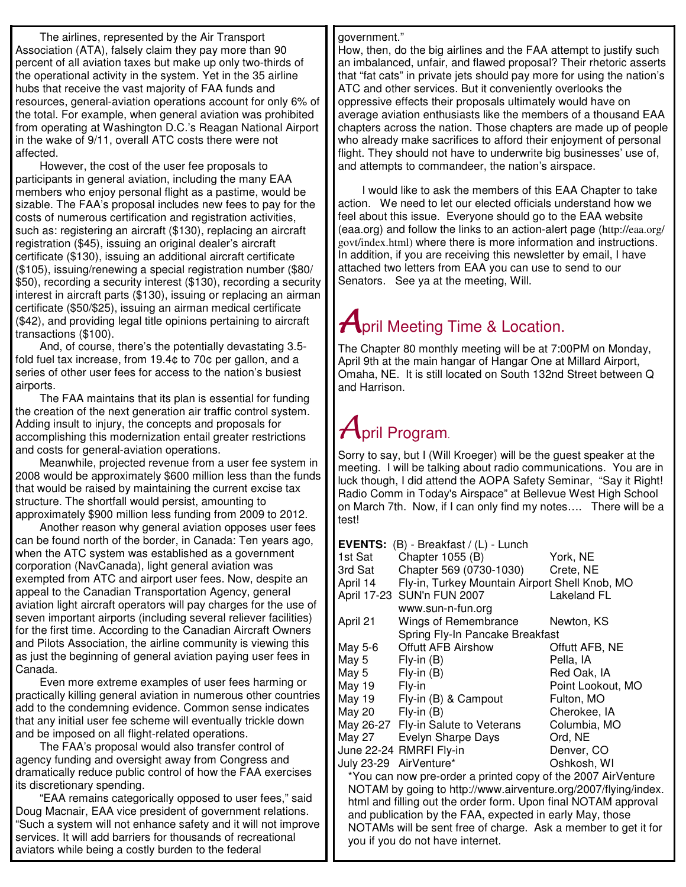The airlines, represented by the Air Transport Association (ATA), falsely claim they pay more than 90 percent of all aviation taxes but make up only two-thirds of the operational activity in the system. Yet in the 35 airline hubs that receive the vast majority of FAA funds and resources, general-aviation operations account for only 6% of the total. For example, when general aviation was prohibited from operating at Washington D.C.'s Reagan National Airport in the wake of 9/11, overall ATC costs there were not affected.

However, the cost of the user fee proposals to participants in general aviation, including the many EAA members who enjoy personal flight as a pastime, would be sizable. The FAA's proposal includes new fees to pay for the costs of numerous certification and registration activities, such as: registering an aircraft (\$130), replacing an aircraft registration (\$45), issuing an original dealer's aircraft certificate (\$130), issuing an additional aircraft certificate (\$105), issuing/renewing a special registration number (\$80/ \$50), recording a security interest (\$130), recording a security interest in aircraft parts (\$130), issuing or replacing an airman certificate (\$50/\$25), issuing an airman medical certificate (\$42), and providing legal title opinions pertaining to aircraft transactions (\$100).

And, of course, there's the potentially devastating 3.5 fold fuel tax increase, from 19.4¢ to 70¢ per gallon, and a series of other user fees for access to the nation's busiest airports.

The FAA maintains that its plan is essential for funding the creation of the next generation air traffic control system. Adding insult to injury, the concepts and proposals for accomplishing this modernization entail greater restrictions and costs for general-aviation operations.

Meanwhile, projected revenue from a user fee system in 2008 would be approximately \$600 million less than the funds that would be raised by maintaining the current excise tax structure. The shortfall would persist, amounting to approximately \$900 million less funding from 2009 to 2012.

Another reason why general aviation opposes user fees can be found north of the border, in Canada: Ten years ago, when the ATC system was established as a government corporation (NavCanada), light general aviation was exempted from ATC and airport user fees. Now, despite an appeal to the Canadian Transportation Agency, general aviation light aircraft operators will pay charges for the use of seven important airports (including several reliever facilities) for the first time. According to the Canadian Aircraft Owners and Pilots Association, the airline community is viewing this as just the beginning of general aviation paying user fees in Canada.

Even more extreme examples of user fees harming or practically killing general aviation in numerous other countries add to the condemning evidence. Common sense indicates that any initial user fee scheme will eventually trickle down and be imposed on all flight-related operations.

The FAA's proposal would also transfer control of agency funding and oversight away from Congress and dramatically reduce public control of how the FAA exercises its discretionary spending.

"EAA remains categorically opposed to user fees," said Doug Macnair, EAA vice president of government relations. "Such a system will not enhance safety and it will not improve services. It will add barriers for thousands of recreational aviators while being a costly burden to the federal

#### government."

How, then, do the big airlines and the FAA attempt to justify such an imbalanced, unfair, and flawed proposal? Their rhetoric asserts that "fat cats" in private jets should pay more for using the nation's ATC and other services. But it conveniently overlooks the oppressive effects their proposals ultimately would have on average aviation enthusiasts like the members of a thousand EAA chapters across the nation. Those chapters are made up of people who already make sacrifices to afford their enjoyment of personal flight. They should not have to underwrite big businesses' use of, and attempts to commandeer, the nation's airspace.

I would like to ask the members of this EAA Chapter to take action. We need to let our elected officials understand how we feel about this issue. Everyone should go to the EAA website (eaa.org) and follow the links to an action-alert page (http://eaa.org/ govt/index.html) where there is more information and instructions. In addition, if you are receiving this newsletter by email, I have attached two letters from EAA you can use to send to our Senators. See ya at the meeting, Will.

## $A$ pril Meeting Time & Location.

The Chapter 80 monthly meeting will be at 7:00PM on Monday, April 9th at the main hangar of Hangar One at Millard Airport, Omaha, NE. It is still located on South 132nd Street between Q and Harrison.

# $\mathcal A$ bril Program.

Sorry to say, but I (Will Kroeger) will be the guest speaker at the meeting. I will be talking about radio communications. You are in luck though, I did attend the AOPA Safety Seminar, "Say it Right! Radio Comm in Today's Airspace" at Bellevue West High School on March 7th. Now, if I can only find my notes…. There will be a test!

| <b>EVENTS:</b> (B) - Breakfast / (L) - Lunch |                                                |                      |
|----------------------------------------------|------------------------------------------------|----------------------|
| 1st Sat                                      | Chapter 1055 (B)                               | York, NE             |
| 3rd Sat                                      | Chapter 569 (0730-1030)                        | Crete, NE            |
| April 14                                     | Fly-in, Turkey Mountain Airport Shell Knob, MO |                      |
|                                              | April 17-23 SUN'n FUN 2007                     | <b>Lakeland FL</b>   |
|                                              | www.sun-n-fun.org                              |                      |
| April 21                                     | Wings of Remembrance                           | Newton, KS           |
|                                              | Spring Fly-In Pancake Breakfast                |                      |
| May 5-6                                      | <b>Offutt AFB Airshow</b>                      | Offutt AFB, NE       |
| May 5                                        | $Fly-in(B)$                                    | Pella, IA            |
| May 5                                        | $Fly-in(B)$                                    | Red Oak, IA          |
| May 19                                       | Fly-in                                         | Point Lookout, MO    |
| May 19                                       | Fly-in (B) & Campout                           | Fulton, MO           |
| May 20                                       | $Fly-in(B)$                                    | Cherokee, IA         |
|                                              | May 26-27 Fly-in Salute to Veterans            | Columbia, MO         |
| May 27                                       | Evelyn Sharpe Days                             | Ord, NE              |
|                                              | June 22-24 RMRFI Fly-in                        | Denver, CO           |
| July 23-29                                   | AirVenture*                                    | Oshkosh, WI          |
|                                              |                                                | $\cdots$ coordinates |

\*You can now pre-order a printed copy of the 2007 AirVenture NOTAM by going to http://www.airventure.org/2007/flying/index. html and filling out the order form. Upon final NOTAM approval and publication by the FAA, expected in early May, those NOTAMs will be sent free of charge. Ask a member to get it for you if you do not have internet.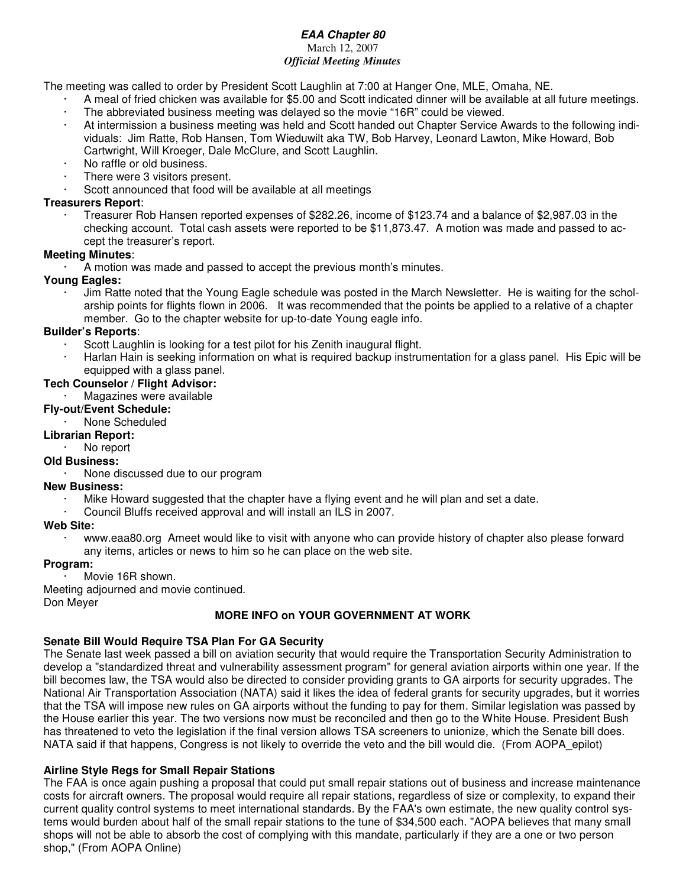#### *EAA Chapter 80* March 12, 2007 *Official Meeting Minutes*

The meeting was called to order by President Scott Laughlin at 7:00 at Hanger One, MLE, Omaha, NE.

- · A meal of fried chicken was available for \$5.00 and Scott indicated dinner will be available at all future meetings. The abbreviated business meeting was delayed so the movie "16R" could be viewed.
- · At intermission a business meeting was held and Scott handed out Chapter Service Awards to the following individuals: Jim Ratte, Rob Hansen, Tom Wieduwilt aka TW, Bob Harvey, Leonard Lawton, Mike Howard, Bob Cartwright, Will Kroeger, Dale McClure, and Scott Laughlin.
- No raffle or old business.
- There were 3 visitors present.
- Scott announced that food will be available at all meetings

#### **Treasurers Report**:

· Treasurer Rob Hansen reported expenses of \$282.26, income of \$123.74 and a balance of \$2,987.03 in the checking account. Total cash assets were reported to be \$11,873.47. A motion was made and passed to accept the treasurer's report.

#### **Meeting Minutes**:

A motion was made and passed to accept the previous month's minutes.

#### **Young Eagles:**

· Jim Ratte noted that the Young Eagle schedule was posted in the March Newsletter. He is waiting for the scholarship points for flights flown in 2006. It was recommended that the points be applied to a relative of a chapter member. Go to the chapter website for up-to-date Young eagle info.

#### **Builder's Reports**:

- Scott Laughlin is looking for a test pilot for his Zenith inaugural flight.
- · Harlan Hain is seeking information on what is required backup instrumentation for a glass panel. His Epic will be equipped with a glass panel.

#### **Tech Counselor / Flight Advisor:**

Magazines were available

#### **Fly-out/Event Schedule:**

· None Scheduled

#### **Librarian Report:**

No report

#### **Old Business:**

· None discussed due to our program

#### **New Business:**

- · Mike Howard suggested that the chapter have a flying event and he will plan and set a date.
- · Council Bluffs received approval and will install an ILS in 2007.

#### **Web Site:**

· www.eaa80.org Ameet would like to visit with anyone who can provide history of chapter also please forward any items, articles or news to him so he can place on the web site.

#### **Program:**

Movie 16R shown.

Meeting adjourned and movie continued.

Don Meyer

#### **MORE INFO on YOUR GOVERNMENT AT WORK**

#### **Senate Bill Would Require TSA Plan For GA Security**

The Senate last week passed a bill on aviation security that would require the Transportation Security Administration to develop a "standardized threat and vulnerability assessment program" for general aviation airports within one year. If the bill becomes law, the TSA would also be directed to consider providing grants to GA airports for security upgrades. The National Air Transportation Association (NATA) said it likes the idea of federal grants for security upgrades, but it worries that the TSA will impose new rules on GA airports without the funding to pay for them. Similar legislation was passed by the House earlier this year. The two versions now must be reconciled and then go to the White House. President Bush has threatened to veto the legislation if the final version allows TSA screeners to unionize, which the Senate bill does. NATA said if that happens, Congress is not likely to override the veto and the bill would die. (From AOPA\_epilot)

#### **Airline Style Regs for Small Repair Stations**

The FAA is once again pushing a proposal that could put small repair stations out of business and increase maintenance costs for aircraft owners. The proposal would require all repair stations, regardless of size or complexity, to expand their current quality control systems to meet international standards. By the FAA's own estimate, the new quality control systems would burden about half of the small repair stations to the tune of \$34,500 each. "AOPA believes that many small shops will not be able to absorb the cost of complying with this mandate, particularly if they are a one or two person shop," (From AOPA Online)